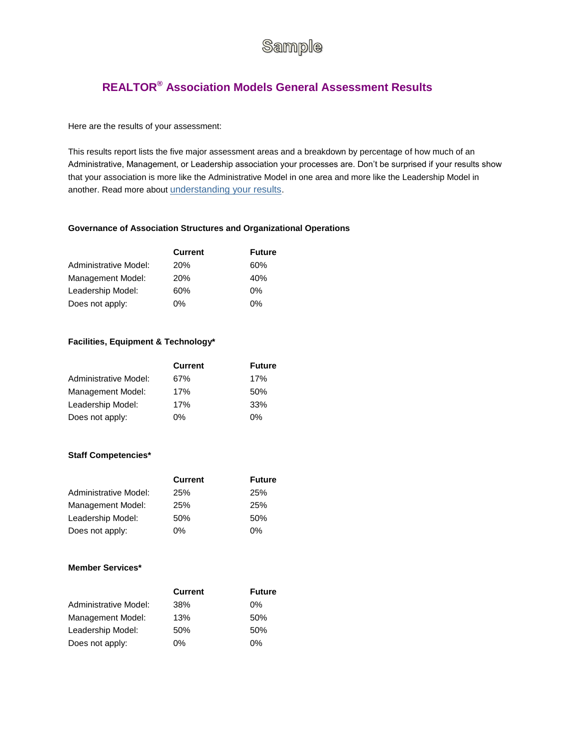# Sample

## **REALTOR® Association Models General Assessment Results**

## Here are the results of your assessment:

This results report lists the five major assessment areas and a breakdown by percentage of how much of an Administrative, Management, or Leadership association your processes are. Don't be surprised if your results show that your association is more like the Administrative Model in one area and more like the Leadership Model in another. Read more about [understanding your results](http://www.realtor.org/aecmodel.nsf/pages/understanding_results?OpenDocument).

## **Governance of Association Structures and Organizational Operations**

|                       | <b>Current</b> | <b>Future</b> |
|-----------------------|----------------|---------------|
| Administrative Model: | <b>20%</b>     | 60%           |
| Management Model:     | <b>20%</b>     | 40%           |
| Leadership Model:     | 60%            | $0\%$         |
| Does not apply:       | 0%             | 0%            |

#### **Facilities, Equipment & Technology\***

|                       | <b>Current</b> | <b>Future</b> |
|-----------------------|----------------|---------------|
| Administrative Model: | 67%            | 17%           |
| Management Model:     | 17%            | 50%           |
| Leadership Model:     | 17%            | 33%           |
| Does not apply:       | $0\%$          | 0%            |

## **Staff Competencies\***

|                       | <b>Current</b> | <b>Future</b> |
|-----------------------|----------------|---------------|
| Administrative Model: | 25%            | 25%           |
| Management Model:     | 25%            | 25%           |
| Leadership Model:     | 50%            | 50%           |
| Does not apply:       | $0\%$          | 0%            |

## **Member Services\***

|                       | <b>Current</b> | <b>Future</b> |
|-----------------------|----------------|---------------|
| Administrative Model: | 38%            | $0\%$         |
| Management Model:     | 13%            | 50%           |
| Leadership Model:     | 50%            | 50%           |
| Does not apply:       | 0%             | $0\%$         |